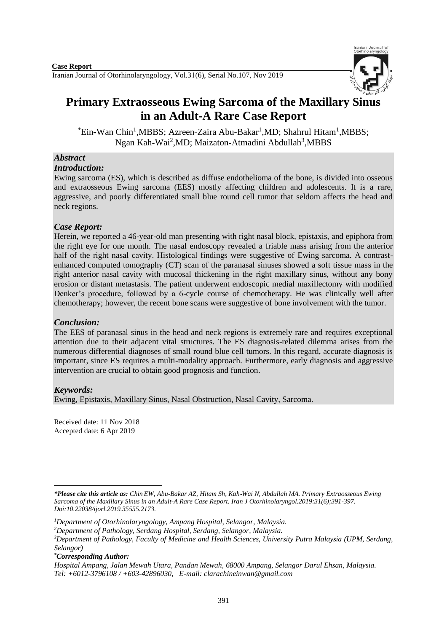

# **Primary Extraosseous Ewing Sarcoma of the Maxillary Sinus in an Adult-A Rare Case Report**

<sup>\*</sup>Ein-Wan Chin<sup>1</sup>,MBBS; Azreen-Zaira Abu-Bakar<sup>1</sup>,MD; Shahrul Hitam<sup>1</sup>,MBBS; Ngan Kah-Wai<sup>2</sup>, MD; Maizaton-Atmadini Abdullah<sup>3</sup>, MBBS

# *Abstract*

# *Introduction:*

Ewing sarcoma (ES), which is described as diffuse endothelioma of the bone, is divided into osseous and extraosseous Ewing sarcoma (EES) mostly affecting children and adolescents. It is a rare, aggressive, and poorly differentiated small blue round cell tumor that seldom affects the head and neck regions.

# *Case Report:*

Herein, we reported a 46-year-old man presenting with right nasal block, epistaxis, and epiphora from the right eye for one month. The nasal endoscopy revealed a friable mass arising from the anterior half of the right nasal cavity. Histological findings were suggestive of Ewing sarcoma. A contrastenhanced computed tomography (CT) scan of the paranasal sinuses showed a soft tissue mass in the right anterior nasal cavity with mucosal thickening in the right maxillary sinus, without any bony erosion or distant metastasis. The patient underwent endoscopic medial maxillectomy with modified Denker's procedure, followed by a 6-cycle course of chemotherapy. He was clinically well after chemotherapy; however, the recent bone scans were suggestive of bone involvement with the tumor.

# *Conclusion:*

The EES of paranasal sinus in the head and neck regions is extremely rare and requires exceptional attention due to their adjacent vital structures. The ES diagnosis-related dilemma arises from the numerous differential diagnoses of small round blue cell tumors. In this regard, accurate diagnosis is important, since ES requires a multi-modality approach. Furthermore, early diagnosis and aggressive intervention are crucial to obtain good prognosis and function.

# *Keywords:*

[Ewing,](https://meshb.nlm.nih.gov/record/ui?name=Sarcoma,%20Ewing) [Epistaxis,](https://meshb.nlm.nih.gov/record/ui?name=Epistaxis) [Maxillary Sinus,](https://meshb.nlm.nih.gov/record/ui?name=Maxillary%20Sinus) [Nasal Obstruction,](https://meshb.nlm.nih.gov/record/ui?name=Nasal%20Obstruction) [Nasal Cavity,](https://meshb.nlm.nih.gov/record/ui?name=Nasal%20Cavity) Sarcoma.

Received date: 11 Nov 2018 Accepted date: 6 Apr 2019

*\*Corresponding Author:*

**<sup>.</sup>** *\*Please cite this article as: Chin EW, Abu-Bakar AZ, Hitam Sh, Kah*-*Wai N, Abdullah MA. Primary Extraosseous Ewing Sarcoma of the Maxillary Sinus in an Adult-A Rare Case Report. [Iran J Otorhinolaryngol.2](https://www.ncbi.nlm.nih.gov/pubmed/?term=Tri-layer+Tympanoplasty+as+a+New+Technique+in+High-risk+Tympanic+Membrane+Perforations)019:31(6);391-397. Doi:10.22038/ijorl.2019.35555.2173.*

*<sup>1</sup>Department of Otorhinolaryngology, Ampang Hospital, Selangor, Malaysia.* 

*<sup>2</sup>Department of Pathology, Serdang Hospital, Serdang, Selangor, Malaysia.*

*<sup>3</sup>Department of Pathology, Faculty of Medicine and Health Sciences, University Putra Malaysia (UPM, Serdang, Selangor)*

*Hospital Ampang, Jalan Mewah Utara, Pandan Mewah, 68000 Ampang, Selangor Darul Ehsan, Malaysia. Tel: +6012-3796108 / +603-42896030, E-mail: [clarachineinwan@gmail.com](mailto:clarachineinwan@gmail.com)*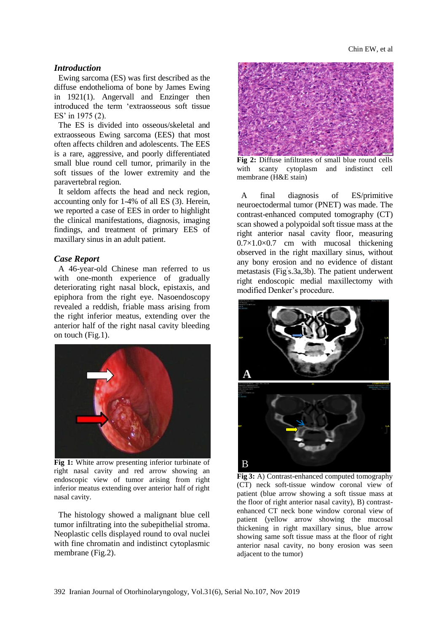#### *Introduction*

Ewing sarcoma (ES) was first described as the diffuse endothelioma of bone by James Ewing in 1921(1). Angervall and Enzinger then introduced the term 'extraosseous soft tissue ES' in 1975 (2).

The ES is divided into osseous/skeletal and extraosseous Ewing sarcoma (EES) that most often affects children and adolescents. The EES is a rare, aggressive, and poorly differentiated small blue round cell tumor, primarily in the soft tissues of the lower extremity and the paravertebral region.

It seldom affects the head and neck region, accounting only for 1-4% of all ES (3). Herein, we reported a case of EES in order to highlight the clinical manifestations, diagnosis, imaging findings, and treatment of primary EES of maxillary sinus in an adult patient.

#### *Case Report*

A 46-year-old Chinese man referred to us with one-month experience of gradually deteriorating right nasal block, epistaxis, and epiphora from the right eye. Nasoendoscopy revealed a reddish, friable mass arising from the right inferior meatus, extending over the anterior half of the right nasal cavity bleeding on touch (Fig.1).



**Fig 1:** White arrow presenting inferior turbinate of right nasal cavity and red arrow showing an endoscopic view of tumor arising from right inferior meatus extending over anterior half of right nasal cavity.

The histology showed a malignant blue cell tumor infiltrating into the subepithelial stroma. Neoplastic cells displayed round to oval nuclei with fine chromatin and indistinct cytoplasmic membrane (Fig.2).



**Fig 2:** Diffuse infiltrates of small blue round cells with scanty cytoplasm and indistinct cell membrane (H&E stain)

A final diagnosis of ES/primitive neuroectodermal tumor (PNET) was made. The contrast-enhanced computed tomography (CT) scan showed a polypoidal soft tissue mass at the right anterior nasal cavity floor, measuring  $0.7\times1.0\times0.7$  cm with mucosal thickening observed in the right maxillary sinus, without any bony erosion and no evidence of distant metastasis (Fig' s.3a,3b). The patient underwent right endoscopic medial maxillectomy with modified Denker's procedure.



**Fig 3:** A) Contrast-enhanced computed tomography (CT) neck soft-tissue window coronal view of patient (blue arrow showing a soft tissue mass at the floor of right anterior nasal cavity), B) contrastenhanced CT neck bone window coronal view of patient (yellow arrow showing the mucosal thickening in right maxillary sinus, blue arrow showing same soft tissue mass at the floor of right anterior nasal cavity, no bony erosion was seen adjacent to the tumor)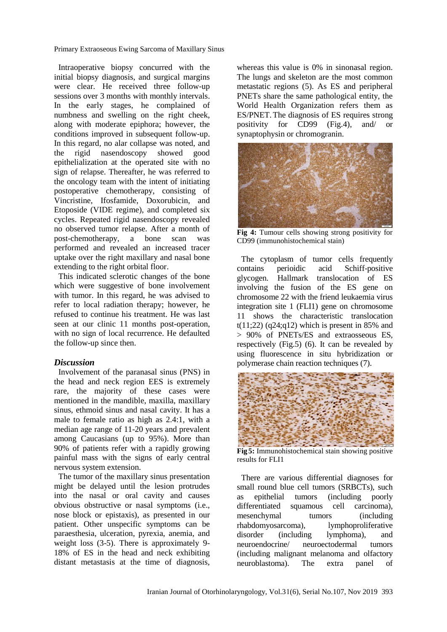Primary Extraoseous Ewing Sarcoma of Maxillary Sinus

Intraoperative biopsy concurred with the initial biopsy diagnosis, and surgical margins were clear. He received three follow-up sessions over 3 months with monthly intervals. In the early stages, he complained of numbness and swelling on the right cheek, along with moderate epiphora; however, the conditions improved in subsequent follow-up. In this regard, no alar collapse was noted, and<br>the rigid nasendoscopy showed good the rigid nasendoscopy showed good epithelialization at the operated site with no sign of relapse. Thereafter, he was referred to the oncology team with the intent of initiating postoperative chemotherapy, consisting of Vincristine, Ifosfamide, Doxorubicin, and Etoposide (VIDE regime), and completed six cycles. Repeated rigid nasendoscopy revealed no observed tumor relapse. After a month of post-chemotherapy, a bone scan was performed and revealed an increased tracer uptake over the right maxillary and nasal bone extending to the right orbital floor.

This indicated sclerotic changes of the bone which were suggestive of bone involvement with tumor. In this regard, he was advised to refer to local radiation therapy; however, he refused to continue his treatment. He was last seen at our clinic 11 months post-operation, with no sign of local recurrence. He defaulted the follow-up since then.

## *Discussion*

Involvement of the paranasal sinus (PNS) in the head and neck region EES is extremely rare, the majority of these cases were mentioned in the mandible, maxilla, maxillary sinus, ethmoid sinus and nasal cavity. It has a male to female ratio as high as 2.4:1, with a median age range of 11-20 years and prevalent among Caucasians (up to 95%). More than 90% of patients refer with a rapidly growing painful mass with the signs of early central nervous system extension.

The tumor of the maxillary sinus presentation might be delayed until the lesion protrudes into the nasal or oral cavity and causes obvious obstructive or nasal symptoms (i.e., nose block or epistaxis), as presented in our patient. Other unspecific symptoms can be paraesthesia, ulceration, pyrexia, anemia, and weight loss (3-5). There is approximately 9- 18% of ES in the head and neck exhibiting distant metastasis at the time of diagnosis,

whereas this value is 0% in sinonasal region. The lungs and skeleton are the most common metastatic regions (5). As ES and peripheral PNETs share the same pathological entity, the World Health Organization refers them as ES/PNET.The diagnosis of ES requires strong positivity for CD99 (Fig.4), and/ or synaptophysin or chromogranin.



**Fig 4:** Tumour cells showing strong positivity for CD99 (immunohistochemical stain)

The cytoplasm of tumor cells frequently contains perioidic acid Schiff-positive glycogen. Hallmark translocation of ES involving the fusion of the ES gene on chromosome 22 with the friend leukaemia virus integration site 1 (FLI1) gene on chromosome 11 shows the characteristic translocation  $t(11;22)$  (q24;q12) which is present in 85% and > 90% of PNETs/ES and extraosseous ES, respectively (Fig.5) (6). It can be revealed by using fluorescence in situ hybridization or polymerase chain reaction techniques (7).



**Fig 5:** Immunohistochemical stain showing positive results for FLI1

There are various differential diagnoses for small round blue cell tumors (SRBCTs), such as epithelial tumors (including poorly differentiated squamous cell carcinoma), mesenchymal tumors (including rhabdomyosarcoma), lymphoproliferative disorder (including lymphoma), and neuroendocrine/ neuroectodermal tumors (including malignant melanoma and olfactory neuroblastoma). The extra panel of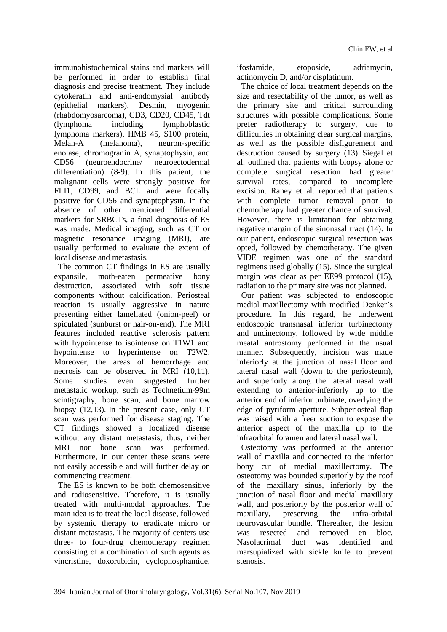immunohistochemical stains and markers will be performed in order to establish final diagnosis and precise treatment. They include cytokeratin and anti-endomysial antibody (epithelial markers), Desmin, myogenin (rhabdomyosarcoma), CD3, CD20, CD45, Tdt (lymphoma including lymphoblastic lymphoma markers), HMB 45, S100 protein, Melan-A (melanoma), neuron-specific enolase, chromogranin A, synaptophysin, and CD56 (neuroendocrine/ neuroectodermal differentiation) (8-9). In this patient, the malignant cells were strongly positive for FLI1, CD99, and BCL and were focally positive for CD56 and synaptophysin. In the absence of other mentioned differential markers for SRBCTs, a final diagnosis of ES was made. Medical imaging, such as CT or magnetic resonance imaging (MRI), are usually performed to evaluate the extent of local disease and metastasis.

 The common CT findings in ES are usually expansile, moth-eaten permeative bony destruction, associated with soft tissue components without calcification. Periosteal reaction is usually aggressive in nature presenting either lamellated (onion-peel) or spiculated (sunburst or hair-on-end). The MRI features included reactive sclerosis pattern with hypointense to isointense on T1W1 and hypointense to hyperintense on T2W2. Moreover, the areas of hemorrhage and necrosis can be observed in MRI (10,11). Some studies even suggested further metastatic workup, such as Technetium-99m scintigraphy, bone scan, and bone marrow biopsy (12,13). In the present case, only CT scan was performed for disease staging. The CT findings showed a localized disease without any distant metastasis; thus, neither MRI nor bone scan was performed. Furthermore, in our center these scans were not easily accessible and will further delay on commencing treatment.

 The ES is known to be both chemosensitive and radiosensitive. Therefore, it is usually treated with multi-modal approaches. The main idea is to treat the local disease, followed by systemic therapy to eradicate micro or distant metastasis. The majority of centers use three- to four-drug chemotherapy regimen consisting of a combination of such agents as vincristine, doxorubicin, cyclophosphamide,

ifosfamide, etoposide, adriamycin, actinomycin D, and/or cisplatinum.

The choice of local treatment depends on the size and resectability of the tumor, as well as the primary site and critical surrounding structures with possible complications. Some prefer radiotherapy to surgery, due to difficulties in obtaining clear surgical margins, as well as the possible disfigurement and destruction caused by surgery (13). Siegal et al. outlined that patients with biopsy alone or complete surgical resection had greater survival rates, compared to incomplete excision. Raney et al. reported that patients with complete tumor removal prior to chemotherapy had greater chance of survival. However, there is limitation for obtaining negative margin of the sinonasal tract (14). In our patient, endoscopic surgical resection was opted, followed by chemotherapy. The given VIDE regimen was one of the standard regimens used globally (15). Since the surgical margin was clear as per EE99 protocol (15), radiation to the primary site was not planned.

Our patient was subjected to endoscopic medial maxillectomy with modified Denker's procedure. In this regard, he underwent endoscopic transnasal inferior turbinectomy and uncinectomy, followed by wide middle meatal antrostomy performed in the usual manner. Subsequently, incision was made inferiorly at the junction of nasal floor and lateral nasal wall (down to the periosteum), and superiorly along the lateral nasal wall extending to anterior-inferiorly up to the anterior end of inferior turbinate, overlying the edge of pyriform aperture. Subperiosteal flap was raised with a freer suction to expose the anterior aspect of the maxilla up to the infraorbital foramen and lateral nasal wall.

Osteotomy was performed at the anterior wall of maxilla and connected to the inferior bony cut of medial maxillectomy. The osteotomy was bounded superiorly by the roof of the maxillary sinus, inferiorly by the junction of nasal floor and medial maxillary wall, and posteriorly by the posterior wall of maxillary, preserving the infra-orbital neurovascular bundle. Thereafter, the lesion was resected and removed en bloc. Nasolacrimal duct was identified and marsupialized with sickle knife to prevent stenosis.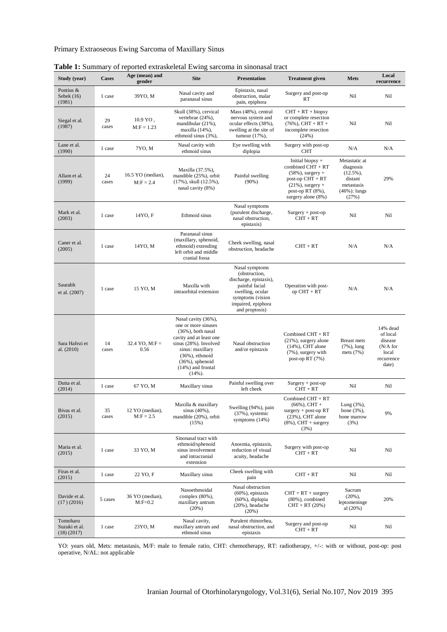## Primary Extraoseous Ewing Sarcoma of Maxillary Sinus

| Study (year)                            | <b>Cases</b> | Age (mean) and<br>gender          | <b>Site</b>                                                                                                                                                                                                                | <b>Presentation</b>                                                                                                                                         | <b>Treatment</b> given                                                                                                                                  | Mets                                                                                          | Local<br>recurrence                                                            |
|-----------------------------------------|--------------|-----------------------------------|----------------------------------------------------------------------------------------------------------------------------------------------------------------------------------------------------------------------------|-------------------------------------------------------------------------------------------------------------------------------------------------------------|---------------------------------------------------------------------------------------------------------------------------------------------------------|-----------------------------------------------------------------------------------------------|--------------------------------------------------------------------------------|
| Pontius &<br>Sebek $(16)$<br>(1981)     | 1 case       | 39YO, M                           | Nasal cavity and<br>paranasal sinus                                                                                                                                                                                        | Epistaxis, nasal<br>obstruction, malar<br>pain, epiphora                                                                                                    | Surgery and post-op<br>RT                                                                                                                               | Nil                                                                                           | Nil                                                                            |
| Siegal et al.<br>(1987)                 | 29<br>cases  | $10.9$ YO,<br>$M: F = 1.23$       | Skull (38%), cervical<br>vertebrae (24%),<br>mandibular (21%),<br>maxilla (14%),<br>ethmoid sinus (3%),                                                                                                                    | Mass (48%), central<br>nervous system and<br>ocular effects (38%),<br>swelling at the site of<br>tumour $(17%)$ ,                                           | $CHT + RT + biopy$<br>or complete resection<br>$(76\%)$ , CHT + RT +<br>incomplete resection<br>(24%)                                                   | Nil                                                                                           | Nil                                                                            |
| Lane et al.<br>(1990)                   | 1 case       | 7YO, M                            | Nasal cavity with<br>ethmoid sinus                                                                                                                                                                                         | Eye swelling with<br>diplopia                                                                                                                               | Surgery with post-op<br><b>CHT</b>                                                                                                                      | N/A                                                                                           | N/A                                                                            |
| Allam et al.<br>(1999)                  | 24<br>cases  | 16.5 YO (median),<br>$M: F = 2.4$ | Maxilla (37.5%),<br>mandible (25%), orbit<br>$(17\%)$ , skull $(12.5\%)$ ,<br>nasal cavity (8%)                                                                                                                            | Painful swelling<br>$(90\%)$                                                                                                                                | Initial biopsy +<br>combined $CHT + RT$<br>$(58\%)$ , surgery +<br>post-op $CHT + RT$<br>$(21\%)$ , surgery +<br>post-op RT (8%),<br>surgery alone (8%) | Metastatic at<br>diagnosis<br>$(12.5\%)$<br>distant<br>metastasis<br>$(46%)$ : lungs<br>(27%) | 29%                                                                            |
| Mark et al.<br>(2003)                   | 1 case       | 14YO, F                           | Ethmoid sinus                                                                                                                                                                                                              | Nasal symptoms<br>(purulent discharge,<br>nasal obstruction,<br>epistaxis)                                                                                  | $Surgery + post-op$<br>$CHT + RT$                                                                                                                       | Nil                                                                                           | Nil                                                                            |
| Caner et al.<br>(2005)                  | 1 case       | 14YO, M                           | Paranasal sinus<br>(maxillary, sphenoid,<br>ethmoid) extending<br>left orbit and middle<br>cranial fossa                                                                                                                   | Cheek swelling, nasal<br>obstruction, headache                                                                                                              | $CHT + RT$                                                                                                                                              | N/A                                                                                           | N/A                                                                            |
| Saurabh<br>et al. (2007)                | 1 case       | 15 YO, M                          | Maxilla with<br>intraorbital extension                                                                                                                                                                                     | Nasal symptoms<br>(obstruction,<br>discharge, epistaxis),<br>painful facial<br>swelling, ocular<br>symptoms (vision<br>impaired, epiphora<br>and proptosis) | Operation with post-<br>$op$ CHT + RT                                                                                                                   | N/A                                                                                           | N/A                                                                            |
| Sara Hafezi et<br>al. (2010)            | 14<br>cases  | 32.4 YO, $M:$ F =<br>0.56         | Nasal cavity (36%),<br>one or more sinuses<br>$(36\%)$ , both nasal<br>cavity and at least one<br>sinus (28%). Involved<br>sinus: maxillary<br>$(36%)$ , ethmoid<br>$(36%)$ , sphenoid<br>$(14%)$ and frontal<br>$(14%)$ . | Nasal obstruction<br>and/or epistaxis                                                                                                                       | Combined CHT + RT<br>$(21\%)$ , surgery alone<br>$(14%)$ , CHT alone<br>(7%), surgery with<br>post-op RT (7%)                                           | <b>Breast</b> mets<br>$(7\%)$ , lung<br>mets $(7%)$                                           | 14% dead<br>of local<br>disease<br>$(N/A)$ for<br>local<br>recurrence<br>date) |
| Dutta et al.<br>(2014)                  | 1 case       | 67 YO, M                          | Maxillary sinus                                                                                                                                                                                                            | Painful swelling over<br>left cheek                                                                                                                         | $Surgery + post-op$<br>$CHT + RT$                                                                                                                       | Nil                                                                                           | Nil                                                                            |
| Bivas et al.<br>(2015)                  | 35<br>cases  | 12 YO (median),<br>$M:$ F = 2.5   | Maxilla & maxillary<br>sinus $(40\%)$ ,<br>mandible (20%), orbit<br>(15%)                                                                                                                                                  | Swelling (94%), pain<br>$(37\%)$ , systemic<br>symptoms $(14%)$                                                                                             | Combined CHT + RT<br>$(66\%)$ , CHT +<br>$surgery + post-op RT$<br>$(23%)$ , CHT alone<br>$(8\%)$ , CHT + surgery<br>(3%)                               | Lung $(3\%)$ ,<br>bone $(3\%)$ ,<br>bone marrow<br>(3%)                                       | 9%                                                                             |
| Maria et al.<br>(2015)                  | 1 case       | 33 YO, M                          | Sinonasal tract with<br>ethmoid/sphenoid<br>sinus involvement<br>and intracranial<br>extension                                                                                                                             | Anosmia, epistaxis,<br>reduction of visual<br>acuity, headache                                                                                              | Surgery with post-op<br>$CHT + RT$                                                                                                                      | Nil                                                                                           | Nil                                                                            |
| Firas et al.<br>(2015)                  | 1 case       | 22 YO, F                          | Maxillary sinus                                                                                                                                                                                                            | Cheek swelling with<br>pain                                                                                                                                 | $CHT + RT$                                                                                                                                              | Nil                                                                                           | Nil                                                                            |
| Davide et al.<br>(17)(2016)             | 5 cases      | 36 YO (median),<br>$M:$ F=0.2     | Nasoethmoidal<br>complex (80%),<br>maxillary antrum<br>(20%)                                                                                                                                                               | Nasal obstruction<br>$(60\%)$ , epistaxis<br>$(60\%)$ , diplopia<br>$(20\%)$ , headache<br>(20%)                                                            | $CHT + RT + surgery$<br>$(80\%)$ , combined<br>$CHT + RT (20%)$                                                                                         | Sacrum<br>$(20\%)$ ,<br>leptomeninge<br>al $(20%)$                                            | 20%                                                                            |
| Tomoharu<br>Suzuki et al.<br>(18)(2017) | 1 case       | 23YO, M                           | Nasal cavity,<br>maxillary antrum and<br>ethmoid sinus                                                                                                                                                                     | Purulent rhinorrhea,<br>nasal obstruction, and<br>epistaxis                                                                                                 | Surgery and post-op<br>$CHT + RT$                                                                                                                       | Nil                                                                                           | Nil                                                                            |

| Table 1: Summary of reported extraskeletal Ewing sarcoma in sinonasal tract |  |
|-----------------------------------------------------------------------------|--|
|                                                                             |  |

YO: years old, Mets: metastasis, M/F: male to female ratio, CHT: chemotherapy, RT: radiotherapy, +/-: with or without, post-op: post operative, N/AL: not applicable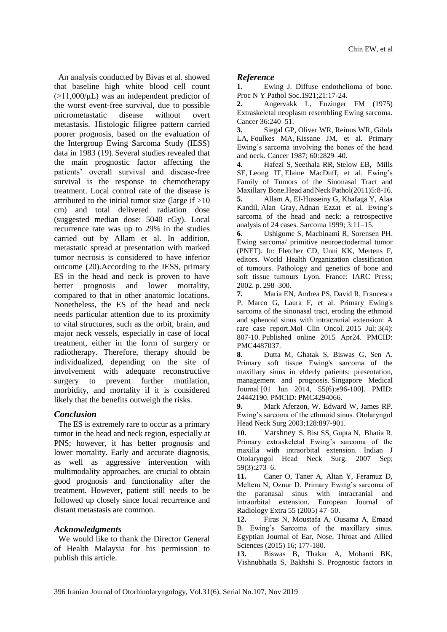An analysis conducted by Bivas et al. showed that baseline high white blood cell count (>11,000/μL) was an independent predictor of the worst event-free survival, due to possible micrometastatic disease without overt metastasis. Histologic filigree pattern carried poorer prognosis, based on the evaluation of the Intergroup Ewing Sarcoma Study (IESS) data in 1983 (19). Several studies revealed that the main prognostic factor affecting the patients' overall survival and disease-free survival is the response to chemotherapy treatment. Local control rate of the disease is attributed to the initial tumor size (large if  $>10$ ) cm) and total delivered radiation dose (suggested median dose: 5040 cGy). Local recurrence rate was up to 29% in the studies carried out by Allam et al. In addition, metastatic spread at presentation with marked tumor necrosis is considered to have inferior outcome (20).According to the IESS, primary ES in the head and neck is proven to have better prognosis and lower mortality, compared to that in other anatomic locations. Nonetheless, the ES of the head and neck needs particular attention due to its proximity to vital structures, such as the orbit, brain, and major neck vessels, especially in case of local treatment, either in the form of surgery or radiotherapy. Therefore, therapy should be individualized, depending on the site of involvement with adequate reconstructive surgery to prevent further mutilation, morbidity, and mortality if it is considered likely that the benefits outweigh the risks.

## *Conclusion*

The ES is extremely rare to occur as a primary tumor in the head and neck region, especially at PNS; however, it has better prognosis and lower mortality. Early and accurate diagnosis, as well as aggressive intervention with multimodality approaches, are crucial to obtain good prognosis and functionality after the treatment. However, patient still needs to be followed up closely since local recurrence and distant metastasis are common.

## *Acknowledgments*

We would like to thank the Director General of Health Malaysia for his permission to publish this article.

## *Reference*

**1.** Ewing J. Diffuse endothelioma of bone. Proc N Y Pathol Soc.1921;21:17-24.

**2.** Angervakk L, Enzinger FM (1975) Extraskeletal neoplasm resembling Ewing sarcoma. Cancer 36:240–51.

**3.** [Siegal GP,](https://www.ncbi.nlm.nih.gov/pubmed/?term=Siegal%20GP%5bAuthor%5d&cauthor=true&cauthor_uid=3677016) [Oliver WR,](https://www.ncbi.nlm.nih.gov/pubmed/?term=Oliver%20WR%5bAuthor%5d&cauthor=true&cauthor_uid=3677016) [Reinus WR,](https://www.ncbi.nlm.nih.gov/pubmed/?term=Reinus%20WR%5bAuthor%5d&cauthor=true&cauthor_uid=3677016) [Gilula](https://www.ncbi.nlm.nih.gov/pubmed/?term=Gilula%20LA%5bAuthor%5d&cauthor=true&cauthor_uid=3677016)  [LA,](https://www.ncbi.nlm.nih.gov/pubmed/?term=Gilula%20LA%5bAuthor%5d&cauthor=true&cauthor_uid=3677016) [Foulkes MA,](https://www.ncbi.nlm.nih.gov/pubmed/?term=Foulkes%20MA%5bAuthor%5d&cauthor=true&cauthor_uid=3677016) [Kissane JM,](https://www.ncbi.nlm.nih.gov/pubmed/?term=Kissane%20JM%5bAuthor%5d&cauthor=true&cauthor_uid=3677016) et al. Primary Ewing's sarcoma involving the bones of the head and neck. Cancer 1987; 60:2829–40.

**4.** Hafezi [S,](https://www.ncbi.nlm.nih.gov/pubmed/?term=Hafezi%20S%5bAuthor%5d&cauthor=true&cauthor_uid=21107767) Seethala [RR,](https://www.ncbi.nlm.nih.gov/pubmed/?term=Seethala%20RR%5bAuthor%5d&cauthor=true&cauthor_uid=21107767) Stelow [EB,](https://www.ncbi.nlm.nih.gov/pubmed/?term=Stelow%20EB%5bAuthor%5d&cauthor=true&cauthor_uid=21107767) Mills [SE,](https://www.ncbi.nlm.nih.gov/pubmed/?term=Mills%20SE%5bAuthor%5d&cauthor=true&cauthor_uid=21107767) Leong [IT,](https://www.ncbi.nlm.nih.gov/pubmed/?term=Leong%20IT%5bAuthor%5d&cauthor=true&cauthor_uid=21107767) [Elaine MacDuff,](https://www.ncbi.nlm.nih.gov/pubmed/?term=MacDuff%20E%5bAuthor%5d&cauthor=true&cauthor_uid=21107767) et al. Ewing's Family of Tumors of the Sinonasal Tract and Maxillary Bone. Head and Neck Pathol(2011)5:8-16.

**5.** Allam A, El-Husseiny G, Khafaga Y, [Alaa](https://www.ncbi.nlm.nih.gov/pubmed/?term=Kandil%20A%5bAuthor%5d&cauthor=true&cauthor_uid=18521259)  [Kandil,](https://www.ncbi.nlm.nih.gov/pubmed/?term=Kandil%20A%5bAuthor%5d&cauthor=true&cauthor_uid=18521259) [Alan Gray,](https://www.ncbi.nlm.nih.gov/pubmed/?term=Gray%20A%5bAuthor%5d&cauthor=true&cauthor_uid=18521259) [Adnan Ezzat](https://www.ncbi.nlm.nih.gov/pubmed/?term=Ezzat%20A%5bAuthor%5d&cauthor=true&cauthor_uid=18521259) et al. Ewing's sarcoma of the head and neck: a retrospective analysis of 24 cases. Sarcoma 1999; 3:11–15.

**6.** Ushigome S, Machinami R, Sorensen PH. Ewing sarcoma/ primitive neuroectodermal tumor (PNET). In: Fletcher CD, Unni KK, Mertens F, editors. World Health Organization classification of tumours. Pathology and genetics of bone and soft tissue tumours Lyon. France: IARC Press; 2002. p. 298–300.

**7.** Maria EN, Andrea PS, David R, Francesca P, Marco G, Laura F, et al. [Primary Ewing's](https://www.ncbi.nlm.nih.gov/pmc/articles/PMC4487037/)  sarcoma of the sinonasal [tract, eroding the ethmoid](https://www.ncbi.nlm.nih.gov/pmc/articles/PMC4487037/)  [and sphenoid sinus with intracranial extension: A](https://www.ncbi.nlm.nih.gov/pmc/articles/PMC4487037/)  [rare case report.](https://www.ncbi.nlm.nih.gov/pmc/articles/PMC4487037/)Mol Clin Oncol. 2015 Jul; 3(4): 807-10. Published online 2015 Apr24. PMCID: PMC4487037.

**8.** [Dutta M,](https://europepmc.org/search;jsessionid=969ABC1D4B9A4B96B4BD3E50C37EDF13?query=AUTH:) [Ghatak S,](https://europepmc.org/search;jsessionid=969ABC1D4B9A4B96B4BD3E50C37EDF13?query=AUTH:) [Biswas](https://europepmc.org/search;jsessionid=969ABC1D4B9A4B96B4BD3E50C37EDF13?query=AUTH:) G, [Sen A.](https://europepmc.org/search;jsessionid=969ABC1D4B9A4B96B4BD3E50C37EDF13?query=AUTH:) Primary soft tissue Ewing's sarcoma of the maxillary sinus in elderly patients: presentation, management and prognosis. [Singapore Medical](https://europepmc.org/search;jsessionid=969ABC1D4B9A4B96B4BD3E50C37EDF13?query=JOURNAL:)  [Journal](https://europepmc.org/search;jsessionid=969ABC1D4B9A4B96B4BD3E50C37EDF13?query=JOURNAL:) [01 Jun 2014, 55(6):e96-100]. PMID: 24442190. PMCID: PMC4294066.

**9.** Mark Aferzon, W. Edward W, James RP. Ewing's sarcoma of the ethmoid sinus. Otolaryngol Head Neck Surg 2003;128:897-901.

**10.** Varshney [S,](https://www.ncbi.nlm.nih.gov/pubmed/?term=Varshney%20S%5bAuthor%5d&cauthor=true&cauthor_uid=23120451) Bist [SS,](https://www.ncbi.nlm.nih.gov/pubmed/?term=Bist%20SS%5bAuthor%5d&cauthor=true&cauthor_uid=23120451) Gupt[a N,](https://www.ncbi.nlm.nih.gov/pubmed/?term=Gupta%20N%5bAuthor%5d&cauthor=true&cauthor_uid=23120451) Bhatia [R.](https://www.ncbi.nlm.nih.gov/pubmed/?term=Bhatia%20R%5bAuthor%5d&cauthor=true&cauthor_uid=23120451)  Primary extraskeletal Ewing's sarcoma of the maxilla with intraorbital extension. [Indian J](https://www.ncbi.nlm.nih.gov/pmc/articles/PMC3452126/)  [Otolaryngol Head Neck Surg.](https://www.ncbi.nlm.nih.gov/pmc/articles/PMC3452126/) 2007 Sep; 59(3):273–6.

**11.** Caner O, Taner A, Altan Y, Feramuz D, Meltem N, Oznur D. Primary Ewing's sarcoma of the paranasal sinus with intracranial and intraorbital extension. European Journal of Radiology Extra 55 (2005) 47–50.

**12.** Firas N, Moustafa A, Ousama A, Emaad B. Ewing's Sarcoma of the maxillary sinus. Egyptian Journal of Ear, Nose, Throat and Allied Sciences (2015) 16; 177-180.

**13.** Biswas B, Thakar A, Mohanti BK, Vishnubhatla S, Bakhshi S. Prognostic factors in